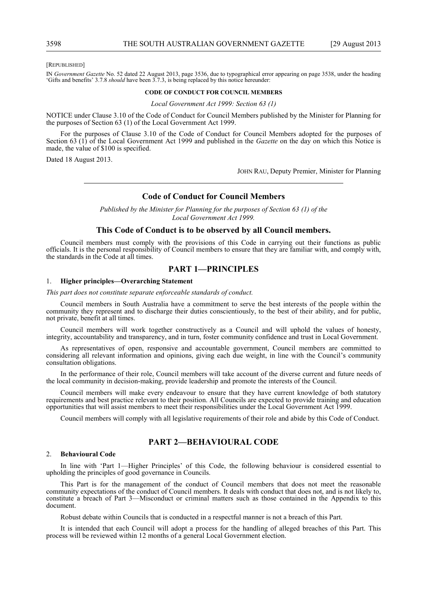#### [REPUBLISHED]

IN *Government Gazette* No. 52 dated 22 August 2013, page 3536, due to typographical error appearing on page 3538, under the heading 'Gifts and benefits' 3.7.8 *should* have been 3.7.3, is being replaced by this notice hereunder:

#### **CODE OF CONDUCT FOR COUNCIL MEMBERS**

*Local Government Act 1999: Section 63 (1)*

NOTICE under Clause 3.10 of the Code of Conduct for Council Members published by the Minister for Planning for the purposes of Section 63 (1) of the Local Government Act 1999.

For the purposes of Clause 3.10 of the Code of Conduct for Council Members adopted for the purposes of Section 63 (1) of the Local Government Act 1999 and published in the *Gazette* on the day on which this Notice is made, the value of \$100 is specified.

Dated 18 August 2013.

JOHN RAU, Deputy Premier, Minister for Planning

# **Code of Conduct for Council Members**

*Published by the Minister for Planning for the purposes of Section 63 (1) of the Local Government Act 1999.*

# **This Code of Conduct is to be observed by all Council members.**

Council members must comply with the provisions of this Code in carrying out their functions as public officials. It is the personal responsibility of Council members to ensure that they are familiar with, and comply with, the standards in the Code at all times.

# **PART 1—PRINCIPLES**

## 1. **Higher principles—Overarching Statement**

*This part does not constitute separate enforceable standards of conduct.*

Council members in South Australia have a commitment to serve the best interests of the people within the community they represent and to discharge their duties conscientiously, to the best of their ability, and for public, not private, benefit at all times.

Council members will work together constructively as a Council and will uphold the values of honesty, integrity, accountability and transparency, and in turn, foster community confidence and trust in Local Government.

As representatives of open, responsive and accountable government, Council members are committed to considering all relevant information and opinions, giving each due weight, in line with the Council's community consultation obligations.

In the performance of their role, Council members will take account of the diverse current and future needs of the local community in decision-making, provide leadership and promote the interests of the Council.

Council members will make every endeavour to ensure that they have current knowledge of both statutory requirements and best practice relevant to their position. All Councils are expected to provide training and education opportunities that will assist members to meet their responsibilities under the Local Government Act 1999.

Council members will comply with all legislative requirements of their role and abide by this Code of Conduct.

# **PART 2—BEHAVIOURAL CODE**

## 2. **Behavioural Code**

In line with 'Part 1—Higher Principles' of this Code, the following behaviour is considered essential to upholding the principles of good governance in Councils.

This Part is for the management of the conduct of Council members that does not meet the reasonable community expectations of the conduct of Council members. It deals with conduct that does not, and is not likely to, constitute a breach of Part 3—Misconduct or criminal matters such as those contained in the Appendix to this document.

Robust debate within Councils that is conducted in a respectful manner is not a breach of this Part.

It is intended that each Council will adopt a process for the handling of alleged breaches of this Part. This process will be reviewed within 12 months of a general Local Government election.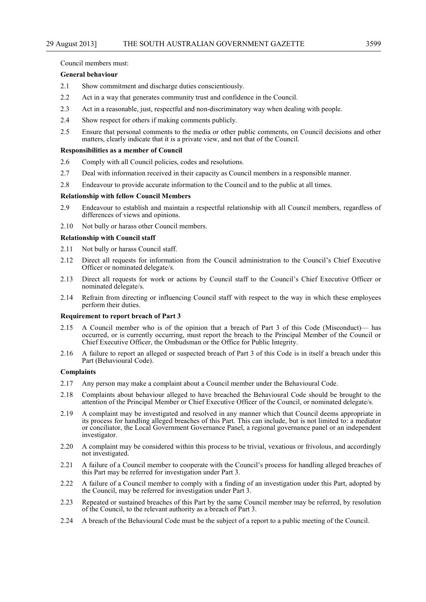# Council members must:

# **General behaviour**

- 2.1 Show commitment and discharge duties conscientiously.
- 2.2 Act in a way that generates community trust and confidence in the Council.
- 2.3 Act in a reasonable, just, respectful and non-discriminatory way when dealing with people.
- 2.4 Show respect for others if making comments publicly.
- 2.5 Ensure that personal comments to the media or other public comments, on Council decisions and other matters, clearly indicate that it is a private view, and not that of the Council.

# **Responsibilities as a member of Council**

- 2.6 Comply with all Council policies, codes and resolutions.
- 2.7 Deal with information received in their capacity as Council members in a responsible manner.
- 2.8 Endeavour to provide accurate information to the Council and to the public at all times.

# **Relationship with fellow Council Members**

- 2.9 Endeavour to establish and maintain a respectful relationship with all Council members, regardless of differences of views and opinions.
- 2.10 Not bully or harass other Council members.

# **Relationship with Council staff**

- 2.11 Not bully or harass Council staff.
- 2.12 Direct all requests for information from the Council administration to the Council's Chief Executive Officer or nominated delegate/s.
- 2.13 Direct all requests for work or actions by Council staff to the Council's Chief Executive Officer or nominated delegate/s.
- 2.14 Refrain from directing or influencing Council staff with respect to the way in which these employees perform their duties.

# **Requirement to report breach of Part 3**

- 2.15 A Council member who is of the opinion that a breach of Part 3 of this Code (Misconduct)— has occurred, or is currently occurring, must report the breach to the Principal Member of the Council or Chief Executive Officer, the Ombudsman or the Office for Public Integrity.
- 2.16 A failure to report an alleged or suspected breach of Part 3 of this Code is in itself a breach under this Part (Behavioural Code).

# **Complaints**

- 2.17 Any person may make a complaint about a Council member under the Behavioural Code.
- 2.18 Complaints about behaviour alleged to have breached the Behavioural Code should be brought to the attention of the Principal Member or Chief Executive Officer of the Council, or nominated delegate/s.
- 2.19 A complaint may be investigated and resolved in any manner which that Council deems appropriate in its process for handling alleged breaches of this Part. This can include, but is not limited to: a mediator or conciliator, the Local Government Governance Panel, a regional governance panel or an independent investigator.
- 2.20 A complaint may be considered within this process to be trivial, vexatious or frivolous, and accordingly not investigated.
- 2.21 A failure of a Council member to cooperate with the Council's process for handling alleged breaches of this Part may be referred for investigation under Part 3.
- 2.22 A failure of a Council member to comply with a finding of an investigation under this Part, adopted by the Council, may be referred for investigation under Part 3.
- 2.23 Repeated or sustained breaches of this Part by the same Council member may be referred, by resolution of the Council, to the relevant authority as a breach of Part 3.
- 2.24 A breach of the Behavioural Code must be the subject of a report to a public meeting of the Council.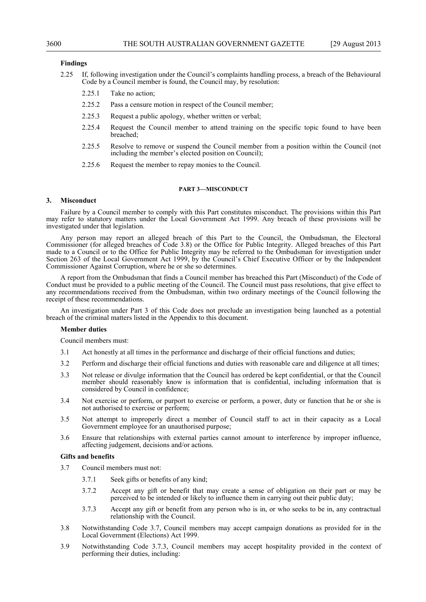# **Findings**

- 2.25 If, following investigation under the Council's complaints handling process, a breach of the Behavioural Code by a Council member is found, the Council may, by resolution:
	- 2.25.1 Take no action;
	- 2.25.2 Pass a censure motion in respect of the Council member;
	- 2.25.3 Request a public apology, whether written or verbal;
	- 2.25.4 Request the Council member to attend training on the specific topic found to have been breached;
	- 2.25.5 Resolve to remove or suspend the Council member from a position within the Council (not including the member's elected position on Council);
	- 2.25.6 Request the member to repay monies to the Council.

#### **PART 3—MISCONDUCT**

## **3. Misconduct**

Failure by a Council member to comply with this Part constitutes misconduct. The provisions within this Part may refer to statutory matters under the Local Government Act 1999. Any breach of these provisions will be investigated under that legislation.

Any person may report an alleged breach of this Part to the Council, the Ombudsman, the Electoral Commissioner (for alleged breaches of Code 3.8) or the Office for Public Integrity. Alleged breaches of this Part made to a Council or to the Office for Public Integrity may be referred to the Ombudsman for investigation under Section 263 of the Local Government Act 1999, by the Council's Chief Executive Officer or by the Independent Commissioner Against Corruption, where he or she so determines.

A report from the Ombudsman that finds a Council member has breached this Part (Misconduct) of the Code of Conduct must be provided to a public meeting of the Council. The Council must pass resolutions, that give effect to any recommendations received from the Ombudsman, within two ordinary meetings of the Council following the receipt of these recommendations.

An investigation under Part 3 of this Code does not preclude an investigation being launched as a potential breach of the criminal matters listed in the Appendix to this document.

#### **Member duties**

Council members must:

- 3.1 Act honestly at all times in the performance and discharge of their official functions and duties;
- 3.2 Perform and discharge their official functions and duties with reasonable care and diligence at all times;
- 3.3 Not release or divulge information that the Council has ordered be kept confidential, or that the Council member should reasonably know is information that is confidential, including information that is considered by Council in confidence;
- 3.4 Not exercise or perform, or purport to exercise or perform, a power, duty or function that he or she is not authorised to exercise or perform;
- 3.5 Not attempt to improperly direct a member of Council staff to act in their capacity as a Local Government employee for an unauthorised purpose;
- 3.6 Ensure that relationships with external parties cannot amount to interference by improper influence, affecting judgement, decisions and/or actions.

#### **Gifts and benefits**

- 3.7 Council members must not:
	- 3.7.1 Seek gifts or benefits of any kind;
	- 3.7.2 Accept any gift or benefit that may create a sense of obligation on their part or may be perceived to be intended or likely to influence them in carrying out their public duty;
	- 3.7.3 Accept any gift or benefit from any person who is in, or who seeks to be in, any contractual relationship with the Council.
- 3.8 Notwithstanding Code 3.7, Council members may accept campaign donations as provided for in the Local Government (Elections) Act 1999.
- 3.9 Notwithstanding Code 3.7.3, Council members may accept hospitality provided in the context of performing their duties, including: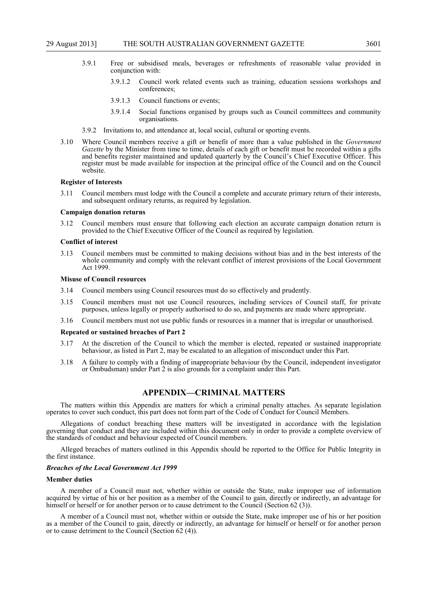- 3.9.1 Free or subsidised meals, beverages or refreshments of reasonable value provided in conjunction with:
	- 3.9.1.2 Council work related events such as training, education sessions workshops and conferences;
	- 3.9.1.3 Council functions or events;
	- 3.9.1.4 Social functions organised by groups such as Council committees and community organisations.
- 3.9.2 Invitations to, and attendance at, local social, cultural or sporting events.
- 3.10 Where Council members receive a gift or benefit of more than a value published in the *Government Gazette* by the Minister from time to time, details of each gift or benefit must be recorded within a gifts and benefits register maintained and updated quarterly by the Council's Chief Executive Officer. This register must be made available for inspection at the principal office of the Council and on the Council website.

#### **Register of Interests**

3.11 Council members must lodge with the Council a complete and accurate primary return of their interests, and subsequent ordinary returns, as required by legislation.

#### **Campaign donation returns**

3.12 Council members must ensure that following each election an accurate campaign donation return is provided to the Chief Executive Officer of the Council as required by legislation.

#### **Conflict of interest**

3.13 Council members must be committed to making decisions without bias and in the best interests of the whole community and comply with the relevant conflict of interest provisions of the Local Government Act 1999.

#### **Misuse of Council resources**

- 3.14 Council members using Council resources must do so effectively and prudently.
- 3.15 Council members must not use Council resources, including services of Council staff, for private purposes, unless legally or properly authorised to do so, and payments are made where appropriate.
- 3.16 Council members must not use public funds or resources in a manner that is irregular or unauthorised.

#### **Repeated or sustained breaches of Part 2**

- 3.17 At the discretion of the Council to which the member is elected, repeated or sustained inappropriate behaviour, as listed in Part 2, may be escalated to an allegation of misconduct under this Part.
- 3.18 A failure to comply with a finding of inappropriate behaviour (by the Council, independent investigator or Ombudsman) under Part 2 is also grounds for a complaint under this Part.

# **APPENDIX—CRIMINAL MATTERS**

The matters within this Appendix are matters for which a criminal penalty attaches. As separate legislation operates to cover such conduct, this part does not form part of the Code of Conduct for Council Members.

Allegations of conduct breaching these matters will be investigated in accordance with the legislation governing that conduct and they are included within this document only in order to provide a complete overview of the standards of conduct and behaviour expected of Council members.

Alleged breaches of matters outlined in this Appendix should be reported to the Office for Public Integrity in the first instance.

#### *Breaches of the Local Government Act 1999*

#### **Member duties**

A member of a Council must not, whether within or outside the State, make improper use of information acquired by virtue of his or her position as a member of the Council to gain, directly or indirectly, an advantage for himself or herself or for another person or to cause detriment to the Council (Section 62 (3)).

A member of a Council must not, whether within or outside the State, make improper use of his or her position as a member of the Council to gain, directly or indirectly, an advantage for himself or herself or for another person or to cause detriment to the Council (Section 62 (4)).